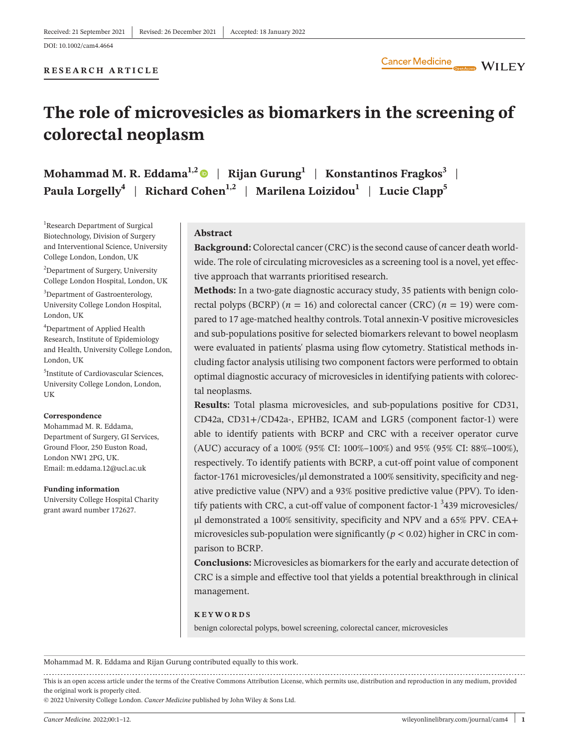# **The role of microvesicles as biomarkers in the screening of colorectal neoplasm**

**Mohammad M. R. Eddama<sup>1,[2](https://orcid.org/0000-0002-4582-0788)</sup> | Rijan Gurung<sup>1</sup> | Konstantinos Fragkos<sup>3</sup> | Paula Lorgelly<sup>4</sup> | Richard Cohen<sup>1,2</sup> | Marilena Loizidou<sup>1</sup> | Lucie Clapp<sup>5</sup>** 

<sup>1</sup>Research Department of Surgical Biotechnology, Division of Surgery and Interventional Science, University College London, London, UK

2 Department of Surgery, University College London Hospital, London, UK

<sup>3</sup>Department of Gastroenterology, University College London Hospital, London, UK

4 Department of Applied Health Research, Institute of Epidemiology and Health, University College London, London, UK

5 Institute of Cardiovascular Sciences, University College London, London, UK

#### **Correspondence**

Mohammad M. R. Eddama, Department of Surgery, GI Services, Ground Floor, 250 Euston Road, London NW1 2PG, UK. Email: [m.eddama.12@ucl.ac.uk](mailto:m.eddama.12@ucl.ac.uk)

#### **Funding information**

University College Hospital Charity grant award number 172627.

### **Abstract**

**Background:** Colorectal cancer (CRC) is the second cause of cancer death worldwide. The role of circulating microvesicles as a screening tool is a novel, yet effective approach that warrants prioritised research.

**Methods:** In a two-gate diagnostic accuracy study, 35 patients with benign colorectal polyps (BCRP) ( $n = 16$ ) and colorectal cancer (CRC) ( $n = 19$ ) were compared to 17 age-matched healthy controls. Total annexin-V positive microvesicles and sub-populations positive for selected biomarkers relevant to bowel neoplasm were evaluated in patients' plasma using flow cytometry. Statistical methods including factor analysis utilising two component factors were performed to obtain optimal diagnostic accuracy of microvesicles in identifying patients with colorectal neoplasms.

**Results:** Total plasma microvesicles, and sub-populations positive for CD31, CD42a, CD31+/CD42a-, EPHB2, ICAM and LGR5 (component factor-1) were able to identify patients with BCRP and CRC with a receiver operator curve (AUC) accuracy of a 100% (95% CI: 100%–100%) and 95% (95% CI: 88%–100%), respectively. To identify patients with BCRP, a cut-off point value of component factor-1761 microvesicles/μl demonstrated a 100% sensitivity, specificity and negative predictive value (NPV) and a 93% positive predictive value (PPV). To identify patients with CRC, a cut-off value of component factor-1  $3439$  microvesicles/ μl demonstrated a 100% sensitivity, specificity and NPV and a 65% PPV. CEA+ microvesicles sub-population were significantly  $(p < 0.02)$  higher in CRC in comparison to BCRP.

**Conclusions:** Microvesicles as biomarkers for the early and accurate detection of CRC is a simple and effective tool that yields a potential breakthrough in clinical management.

#### **KEYWORDS**

benign colorectal polyps, bowel screening, colorectal cancer, microvesicles

Mohammad M. R. Eddama and Rijan Gurung contributed equally to this work.

This is an open access article under the terms of the [Creative Commons Attribution](http://creativecommons.org/licenses/by/4.0/) License, which permits use, distribution and reproduction in any medium, provided the original work is properly cited.

© 2022 University College London. *Cancer Medicine* published by John Wiley & Sons Ltd.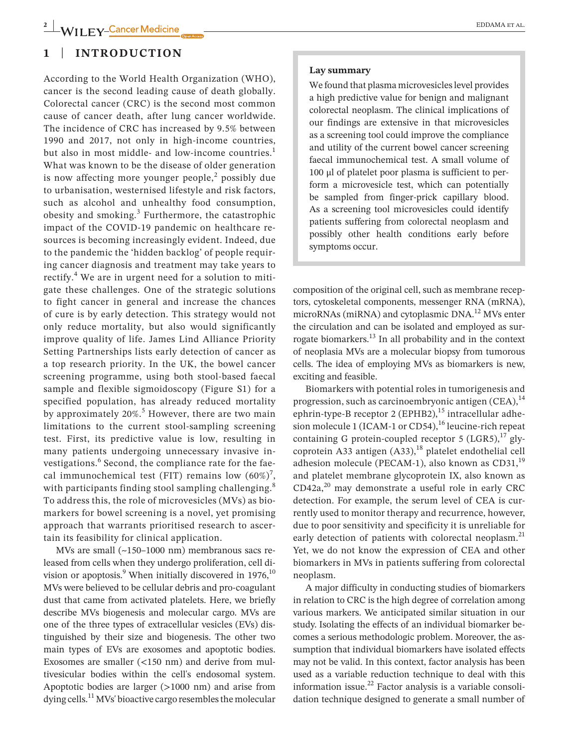### **1** | **INTRODUCTION**

According to the World Health Organization (WHO), cancer is the second leading cause of death globally. Colorectal cancer (CRC) is the second most common cause of cancer death, after lung cancer worldwide. The incidence of CRC has increased by 9.5% between 1990 and 2017, not only in high-income countries, but also in most middle- and low-income countries.<sup>1</sup> What was known to be the disease of older generation is now affecting more younger people,<sup>2</sup> possibly due to urbanisation, westernised lifestyle and risk factors, such as alcohol and unhealthy food consumption, obesity and smoking.<sup>3</sup> Furthermore, the catastrophic impact of the COVID-19 pandemic on healthcare resources is becoming increasingly evident. Indeed, due to the pandemic the 'hidden backlog' of people requiring cancer diagnosis and treatment may take years to rectify.<sup>4</sup> We are in urgent need for a solution to mitigate these challenges. One of the strategic solutions to fight cancer in general and increase the chances of cure is by early detection. This strategy would not only reduce mortality, but also would significantly improve quality of life. James Lind Alliance Priority Setting Partnerships lists early detection of cancer as a top research priority. In the UK, the bowel cancer screening programme, using both stool-based faecal sample and flexible sigmoidoscopy (Figure S1) for a specified population, has already reduced mortality by approximately 20%.<sup>5</sup> However, there are two main limitations to the current stool-sampling screening test. First, its predictive value is low, resulting in many patients undergoing unnecessary invasive investigations.<sup>6</sup> Second, the compliance rate for the faecal immunochemical test (FIT) remains low  $(60\%)^7$ , with participants finding stool sampling challenging.<sup>8</sup> To address this, the role of microvesicles (MVs) as biomarkers for bowel screening is a novel, yet promising approach that warrants prioritised research to ascertain its feasibility for clinical application.

MVs are small (~150–1000 nm) membranous sacs released from cells when they undergo proliferation, cell division or apoptosis. $^9$  When initially discovered in 1976, $^{10}$ MVs were believed to be cellular debris and pro-coagulant dust that came from activated platelets. Here, we briefly describe MVs biogenesis and molecular cargo. MVs are one of the three types of extracellular vesicles (EVs) distinguished by their size and biogenesis. The other two main types of EVs are exosomes and apoptotic bodies. Exosomes are smaller  $(<150$  nm) and derive from multivesicular bodies within the cell's endosomal system. Apoptotic bodies are larger (>1000 nm) and arise from dying cells.11 MVs' bioactive cargo resembles the molecular

#### **Lay summary**

We found that plasma microvesicles level provides a high predictive value for benign and malignant colorectal neoplasm. The clinical implications of our findings are extensive in that microvesicles as a screening tool could improve the compliance and utility of the current bowel cancer screening faecal immunochemical test. A small volume of 100 μl of platelet poor plasma is sufficient to perform a microvesicle test, which can potentially be sampled from finger-prick capillary blood. As a screening tool microvesicles could identify patients suffering from colorectal neoplasm and possibly other health conditions early before symptoms occur.

composition of the original cell, such as membrane receptors, cytoskeletal components, messenger RNA (mRNA), microRNAs (miRNA) and cytoplasmic DNA.<sup>12</sup> MVs enter the circulation and can be isolated and employed as surrogate biomarkers.13 In all probability and in the context of neoplasia MVs are a molecular biopsy from tumorous cells. The idea of employing MVs as biomarkers is new, exciting and feasible.

Biomarkers with potential roles in tumorigenesis and progression, such as carcinoembryonic antigen  $(CEA)$ ,  $^{14}$ ephrin-type-B receptor 2 (EPHB2),<sup>15</sup> intracellular adhesion molecule 1 (ICAM-1 or CD54),<sup>16</sup> leucine-rich repeat containing G protein-coupled receptor 5  $(LGR5)$ ,<sup>17</sup> glycoprotein A33 antigen  $(A33)$ ,<sup>18</sup> platelet endothelial cell adhesion molecule (PECAM-1), also known as  $CD31<sup>19</sup>$ and platelet membrane glycoprotein IX, also known as  $CD42a$ ,<sup>20</sup> may demonstrate a useful role in early CRC detection. For example, the serum level of CEA is currently used to monitor therapy and recurrence, however, due to poor sensitivity and specificity it is unreliable for early detection of patients with colorectal neoplasm.<sup>21</sup> Yet, we do not know the expression of CEA and other biomarkers in MVs in patients suffering from colorectal neoplasm.

A major difficulty in conducting studies of biomarkers in relation to CRC is the high degree of correlation among various markers. We anticipated similar situation in our study. Isolating the effects of an individual biomarker becomes a serious methodologic problem. Moreover, the assumption that individual biomarkers have isolated effects may not be valid. In this context, factor analysis has been used as a variable reduction technique to deal with this information issue. $^{22}$  Factor analysis is a variable consolidation technique designed to generate a small number of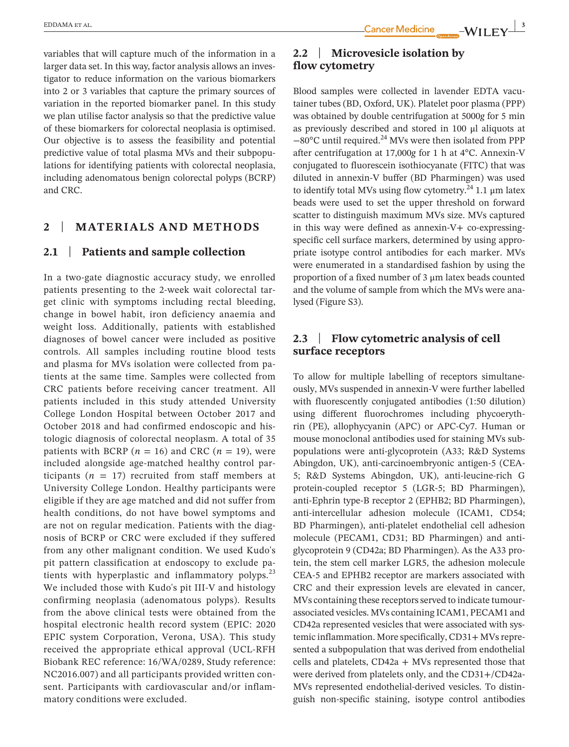variables that will capture much of the information in a larger data set. In this way, factor analysis allows an investigator to reduce information on the various biomarkers into 2 or 3 variables that capture the primary sources of variation in the reported biomarker panel. In this study we plan utilise factor analysis so that the predictive value of these biomarkers for colorectal neoplasia is optimised. Our objective is to assess the feasibility and potential predictive value of total plasma MVs and their subpopulations for identifying patients with colorectal neoplasia, including adenomatous benign colorectal polyps (BCRP) and CRC.

### **2** | **MATERIALS AND METHODS**

### **2.1** | **Patients and sample collection**

In a two-gate diagnostic accuracy study, we enrolled patients presenting to the 2-week wait colorectal target clinic with symptoms including rectal bleeding, change in bowel habit, iron deficiency anaemia and weight loss. Additionally, patients with established diagnoses of bowel cancer were included as positive controls. All samples including routine blood tests and plasma for MVs isolation were collected from patients at the same time. Samples were collected from CRC patients before receiving cancer treatment. All patients included in this study attended University College London Hospital between October 2017 and October 2018 and had confirmed endoscopic and histologic diagnosis of colorectal neoplasm. A total of 35 patients with BCRP ( $n = 16$ ) and CRC ( $n = 19$ ), were included alongside age-matched healthy control participants ( $n = 17$ ) recruited from staff members at University College London. Healthy participants were eligible if they are age matched and did not suffer from health conditions, do not have bowel symptoms and are not on regular medication. Patients with the diagnosis of BCRP or CRC were excluded if they suffered from any other malignant condition. We used Kudo's pit pattern classification at endoscopy to exclude patients with hyperplastic and inflammatory polyps. $^{23}$ We included those with Kudo's pit III-V and histology confirming neoplasia (adenomatous polyps). Results from the above clinical tests were obtained from the hospital electronic health record system (EPIC: 2020 EPIC system Corporation, Verona, USA). This study received the appropriate ethical approval (UCL-RFH Biobank REC reference: 16/WA/0289, Study reference: NC2016.007) and all participants provided written consent. Participants with cardiovascular and/or inflammatory conditions were excluded.

### **2.2** | **Microvesicle isolation by flow cytometry**

Blood samples were collected in lavender EDTA vacutainer tubes (BD, Oxford, UK). Platelet poor plasma (PPP) was obtained by double centrifugation at 5000*g* for 5 min as previously described and stored in 100 μl aliquots at −80°C until required.24 MVs were then isolated from PPP after centrifugation at 17,000*g* for 1 h at 4°C. Annexin-V conjugated to fluorescein isothiocyanate (FITC) that was diluted in annexin-V buffer (BD Pharmingen) was used to identify total MVs using flow cytometry.<sup>24</sup> 1.1  $\mu$ m latex beads were used to set the upper threshold on forward scatter to distinguish maximum MVs size. MVs captured in this way were defined as annexin-V+ co-expressingspecific cell surface markers, determined by using appropriate isotype control antibodies for each marker. MVs were enumerated in a standardised fashion by using the proportion of a fixed number of 3 μm latex beads counted and the volume of sample from which the MVs were analysed (Figure S3).

### **2.3** | **Flow cytometric analysis of cell surface receptors**

To allow for multiple labelling of receptors simultaneously, MVs suspended in annexin-V were further labelled with fluorescently conjugated antibodies (1:50 dilution) using different fluorochromes including phycoerythrin (PE), allophycyanin (APC) or APC-Cy7. Human or mouse monoclonal antibodies used for staining MVs subpopulations were anti-glycoprotein (A33; R&D Systems Abingdon, UK), anti-carcinoembryonic antigen-5 (CEA-5; R&D Systems Abingdon, UK), anti-leucine-rich G protein-coupled receptor 5 (LGR-5; BD Pharmingen), anti-Ephrin type-B receptor 2 (EPHB2; BD Pharmingen), anti-intercellular adhesion molecule (ICAM1, CD54; BD Pharmingen), anti-platelet endothelial cell adhesion molecule (PECAM1, CD31; BD Pharmingen) and antiglycoprotein 9 (CD42a; BD Pharmingen). As the A33 protein, the stem cell marker LGR5, the adhesion molecule CEA-5 and EPHB2 receptor are markers associated with CRC and their expression levels are elevated in cancer, MVs containing these receptors served to indicate tumourassociated vesicles. MVs containing ICAM1, PECAM1 and CD42a represented vesicles that were associated with systemic inflammation. More specifically, CD31+ MVs represented a subpopulation that was derived from endothelial cells and platelets, CD42a + MVs represented those that were derived from platelets only, and the CD31+/CD42a-MVs represented endothelial-derived vesicles. To distinguish non-specific staining, isotype control antibodies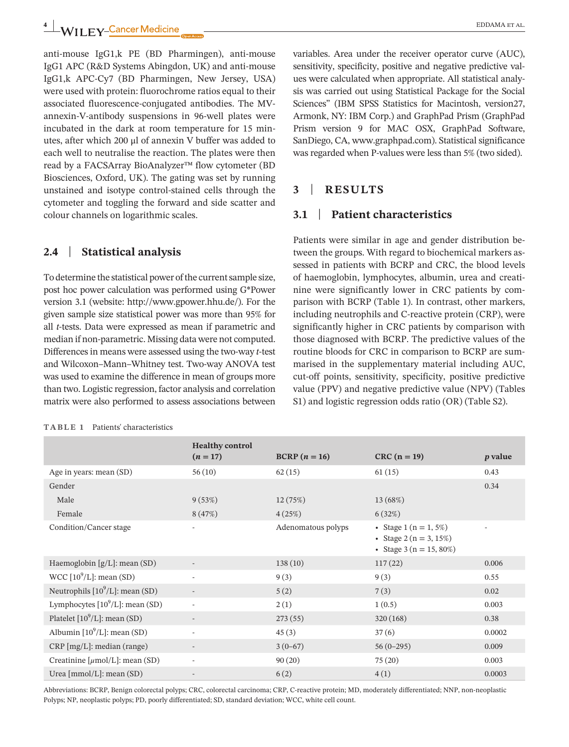**4** WII FV-Cancer Medicine **CONDUCT A** EDDAMA ET AL.

anti-mouse IgG1,k PE (BD Pharmingen), anti-mouse IgG1 APC (R&D Systems Abingdon, UK) and anti-mouse IgG1,k APC-Cy7 (BD Pharmingen, New Jersey, USA) were used with protein: fluorochrome ratios equal to their associated fluorescence-conjugated antibodies. The MVannexin-V-antibody suspensions in 96-well plates were incubated in the dark at room temperature for 15 minutes, after which 200 μl of annexin V buffer was added to each well to neutralise the reaction. The plates were then read by a FACSArray BioAnalyzer™ flow cytometer (BD Biosciences, Oxford, UK). The gating was set by running unstained and isotype control-stained cells through the cytometer and toggling the forward and side scatter and colour channels on logarithmic scales.

### **2.4** | **Statistical analysis**

To determine the statistical power of the current sample size, post hoc power calculation was performed using G\*Power version 3.1 (website: <http://www.gpower.hhu.de/>). For the given sample size statistical power was more than 95% for all *t*-tests. Data were expressed as mean if parametric and median if non-parametric. Missing data were not computed. Differences in means were assessed using the two-way *t*-test and Wilcoxon–Mann–Whitney test. Two-way ANOVA test was used to examine the difference in mean of groups more than two. Logistic regression, factor analysis and correlation matrix were also performed to assess associations between

| Patients' characteristics<br>TABLE 1 |
|--------------------------------------|
|--------------------------------------|

variables. Area under the receiver operator curve (AUC), sensitivity, specificity, positive and negative predictive values were calculated when appropriate. All statistical analysis was carried out using Statistical Package for the Social Sciences" (IBM SPSS Statistics for Macintosh, version27, Armonk, NY: IBM Corp.) and GraphPad Prism (GraphPad Prism version 9 for MAC OSX, GraphPad Software, SanDiego, CA, [www.graphpad.com\)](http://www.graphpad.com). Statistical significance was regarded when P-values were less than 5% (two sided).

### **3** | **RESULTS**

### **3.1** | **Patient characteristics**

Patients were similar in age and gender distribution between the groups. With regard to biochemical markers assessed in patients with BCRP and CRC, the blood levels of haemoglobin, lymphocytes, albumin, urea and creatinine were significantly lower in CRC patients by comparison with BCRP (Table 1). In contrast, other markers, including neutrophils and C-reactive protein (CRP), were significantly higher in CRC patients by comparison with those diagnosed with BCRP. The predictive values of the routine bloods for CRC in comparison to BCRP are summarised in the supplementary material including AUC, cut-off points, sensitivity, specificity, positive predictive value (PPV) and negative predictive value (NPV) (Tables S1) and logistic regression odds ratio (OR) (Table S2).

|                                             | <b>Healthy control</b>   |                    |                                                                                      |                          |
|---------------------------------------------|--------------------------|--------------------|--------------------------------------------------------------------------------------|--------------------------|
|                                             | $(n = 17)$               | $BCRP (n = 16)$    | $CRC (n = 19)$                                                                       | <i>p</i> value           |
| Age in years: mean (SD)                     | 56(10)                   | 62(15)             | 61(15)                                                                               | 0.43                     |
| Gender                                      |                          |                    |                                                                                      | 0.34                     |
| Male                                        | 9(53%)                   | 12(75%)            | 13 (68%)                                                                             |                          |
| Female                                      | 8(47%)                   | 4(25%)             | 6(32%)                                                                               |                          |
| Condition/Cancer stage                      | $\overline{\phantom{a}}$ | Adenomatous polyps | • Stage 1 ( $n = 1, 5\%)$<br>• Stage 2 ( $n = 3, 15\%)$<br>• Stage $3(n = 15, 80\%)$ | $\overline{\phantom{a}}$ |
| Haemoglobin $[g/L]$ : mean (SD)             | $\overline{\phantom{a}}$ | 138(10)            | 117(22)                                                                              | 0.006                    |
| WCC $[10^9/L]$ : mean (SD)                  | $\overline{\phantom{a}}$ | 9(3)               | 9(3)                                                                                 | 0.55                     |
| Neutrophils $[10^9/L]$ : mean (SD)          |                          | 5(2)               | 7(3)                                                                                 | 0.02                     |
| Lymphocytes $[10^9/L]$ : mean (SD)          | $\overline{\phantom{a}}$ | 2(1)               | 1(0.5)                                                                               | 0.003                    |
| Platelet $[10^9/L]$ : mean (SD)             |                          | 273(55)            | 320(168)                                                                             | 0.38                     |
| Albumin $[10^9/L]$ : mean (SD)              | $\overline{\phantom{a}}$ | 45(3)              | 37(6)                                                                                | 0.0002                   |
| $CRP$ [mg/L]: median (range)                | $\overline{\phantom{a}}$ | $3(0-67)$          | $56(0-295)$                                                                          | 0.009                    |
| Creatinine $[\mu \text{mol/L}]$ : mean (SD) | $\overline{\phantom{a}}$ | 90(20)             | 75(20)                                                                               | 0.003                    |
| Urea $[mmol/L]$ : mean $(SD)$               | $\overline{\phantom{a}}$ | 6(2)               | 4(1)                                                                                 | 0.0003                   |

Abbreviations: BCRP, Benign colorectal polyps; CRC, colorectal carcinoma; CRP, C-reactive protein; MD, moderately differentiated; NNP, non-neoplastic Polyps; NP, neoplastic polyps; PD, poorly differentiated; SD, standard deviation; WCC, white cell count.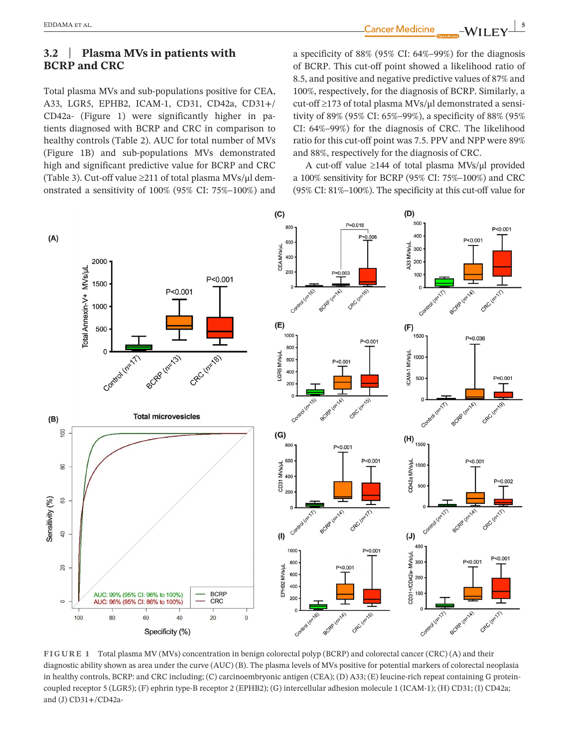**|** EDDAMA et al. **5**

Total plasma MVs and sub-populations positive for CEA, A33, LGR5, EPHB2, ICAM-1, CD31, CD42a, CD31+/ CD42a- (Figure 1) were significantly higher in patients diagnosed with BCRP and CRC in comparison to healthy controls (Table 2). AUC for total number of MVs (Figure 1B) and sub-populations MVs demonstrated high and significant predictive value for BCRP and CRC (Table 3). Cut-off value ≥211 of total plasma MVs/μl demonstrated a sensitivity of 100% (95% CI: 75%–100%) and a specificity of 88% (95% CI: 64%–99%) for the diagnosis of BCRP. This cut-off point showed a likelihood ratio of 8.5, and positive and negative predictive values of 87% and 100%, respectively, for the diagnosis of BCRP. Similarly, a cut-off ≥173 of total plasma MVs/μl demonstrated a sensitivity of 89% (95% CI: 65%–99%), a specificity of 88% (95% CI: 64%–99%) for the diagnosis of CRC. The likelihood ratio for this cut-off point was 7.5. PPV and NPP were 89% and 88%, respectively for the diagnosis of CRC.

A cut-off value ≥144 of total plasma MVs/μl provided a 100% sensitivity for BCRP (95% CI: 75%–100%) and CRC (95% CI: 81%–100%). The specificity at this cut-off value for



**FIGURE 1** Total plasma MV (MVs) concentration in benign colorectal polyp (BCRP) and colorectal cancer (CRC) (A) and their diagnostic ability shown as area under the curve (AUC) (B). The plasma levels of MVs positive for potential markers of colorectal neoplasia in healthy controls, BCRP: and CRC including; (C) carcinoembryonic antigen (CEA); (D) A33; (E) leucine-rich repeat containing G proteincoupled receptor 5 (LGR5); (F) ephrin type-B receptor 2 (EPHB2); (G) intercellular adhesion molecule 1 (ICAM-1); (H) CD31; (I) CD42a; and (J) CD31+/CD42a-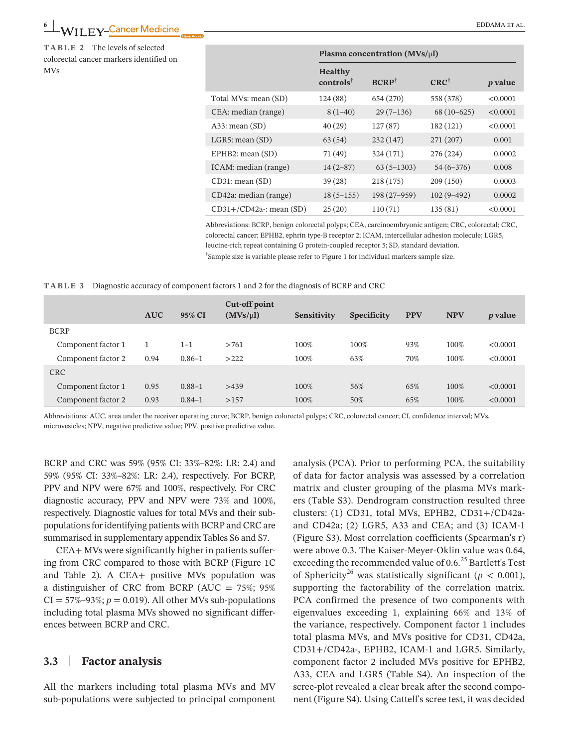## **EDDAMA ET AL.**<br> **EDDAMA ET AL.**

**TABLE 2** The levels of selected colorectal cancer markers identified on MV<sub>s</sub>

|                           | Plasma concentration ( $MVs/\mu l$ )   |                  |                 |                |
|---------------------------|----------------------------------------|------------------|-----------------|----------------|
|                           | <b>Healthy</b><br>$controls^{\dagger}$ | $BCRP^{\dagger}$ | $CRC^{\dagger}$ | <i>p</i> value |
| Total MVs: mean (SD)      | 124(88)                                | 654 (270)        | 558 (378)       | < 0.0001       |
| CEA: median (range)       | $8(1-40)$                              | $29(7-136)$      | $68(10-625)$    | < 0.0001       |
| $A33:$ mean $(SD)$        | 40(29)                                 | 127(87)          | 182 (121)       | < 0.0001       |
| $LGR5:$ mean $(SD)$       | 63(54)                                 | 232(147)         | 271 (207)       | 0.001          |
| EPHB2: mean $(SD)$        | 71 (49)                                | 324 (171)        | 276 (224)       | 0.0002         |
| ICAM: median (range)      | $14(2-87)$                             | $63(5 - 1303)$   | $54(6-376)$     | 0.008          |
| $CD31:$ mean $(SD)$       | 39(28)                                 | 218(175)         | 209 (150)       | 0.0003         |
| CD42a: median (range)     | $18(5 - 155)$                          | 198 (27-959)     | $102(9-492)$    | 0.0002         |
| $CD31+/CD42a$ : mean (SD) | 25(20)                                 | 110(71)          | 135(81)         | < 0.0001       |

Abbreviations: BCRP, benign colorectal polyps; CEA, carcinoembryonic antigen; CRC, colorectal; CRC, colorectal cancer; EPHB2, ephrin type-B receptor 2; ICAM, intercellular adhesion molecule; LGR5, leucine-rich repeat containing G protein-coupled receptor 5; SD, standard deviation. † Sample size is variable please refer to Figure 1 for individual markers sample size.

|  |  |  | TABLE 3 Diagnostic accuracy of component factors 1 and 2 for the diagnosis of BCRP and CRC |  |
|--|--|--|--------------------------------------------------------------------------------------------|--|
|--|--|--|--------------------------------------------------------------------------------------------|--|

|                    | <b>AUC</b> | 95% CI     | Cut-off point<br>(MVs/ul) | Sensitivity | Specificity | <b>PPV</b> | <b>NPV</b> | <i>p</i> value |
|--------------------|------------|------------|---------------------------|-------------|-------------|------------|------------|----------------|
| <b>BCRP</b>        |            |            |                           |             |             |            |            |                |
| Component factor 1 |            | $1 - 1$    | >761                      | 100%        | 100%        | 93%        | 100%       | < 0.0001       |
| Component factor 2 | 0.94       | $0.86 - 1$ | >222                      | 100%        | 63%         | 70%        | 100%       | < 0.0001       |
| <b>CRC</b>         |            |            |                           |             |             |            |            |                |
| Component factor 1 | 0.95       | $0.88 - 1$ | >439                      | 100%        | 56%         | 65%        | 100%       | < 0.0001       |
| Component factor 2 | 0.93       | $0.84 - 1$ | >157                      | 100%        | 50%         | 65%        | 100%       | < 0.0001       |

Abbreviations: AUC, area under the receiver operating curve; BCRP, benign colorectal polyps; CRC, colorectal cancer; CI, confidence interval; MVs, microvesicles; NPV, negative predictive value; PPV, positive predictive value.

BCRP and CRC was 59% (95% CI: 33%–82%: LR: 2.4) and 59% (95% CI: 33%–82%: LR: 2.4), respectively. For BCRP, PPV and NPV were 67% and 100%, respectively. For CRC diagnostic accuracy, PPV and NPV were 73% and 100%, respectively. Diagnostic values for total MVs and their subpopulations for identifying patients with BCRP and CRC are summarised in supplementary appendix Tables S6 and S7.

CEA+ MVs were significantly higher in patients suffering from CRC compared to those with BCRP (Figure 1C and Table 2). A CEA+ positive MVs population was a distinguisher of CRC from BCRP (AUC =  $75\%$ ;  $95\%$  $CI = 57\% - 93\%; p = 0.019$ ). All other MVs sub-populations including total plasma MVs showed no significant differences between BCRP and CRC.

### **3.3** | **Factor analysis**

All the markers including total plasma MVs and MV sub-populations were subjected to principal component analysis (PCA). Prior to performing PCA, the suitability of data for factor analysis was assessed by a correlation matrix and cluster grouping of the plasma MVs markers (Table S3). Dendrogram construction resulted three clusters: (1) CD31, total MVs, EPHB2, CD31+/CD42aand CD42a; (2) LGR5, A33 and CEA; and (3) ICAM-1 (Figure S3). Most correlation coefficients (Spearman's r) were above 0.3. The Kaiser-Meyer-Oklin value was 0.64, exceeding the recommended value of 0.6.<sup>25</sup> Bartlett's Test of Sphericity<sup>26</sup> was statistically significant ( $p < 0.001$ ), supporting the factorability of the correlation matrix. PCA confirmed the presence of two components with eigenvalues exceeding 1, explaining 66% and 13% of the variance, respectively. Component factor 1 includes total plasma MVs, and MVs positive for CD31, CD42a, CD31+/CD42a-, EPHB2, ICAM-1 and LGR5. Similarly, component factor 2 included MVs positive for EPHB2, A33, CEA and LGR5 (Table S4). An inspection of the scree-plot revealed a clear break after the second component (Figure S4). Using Cattell's scree test, it was decided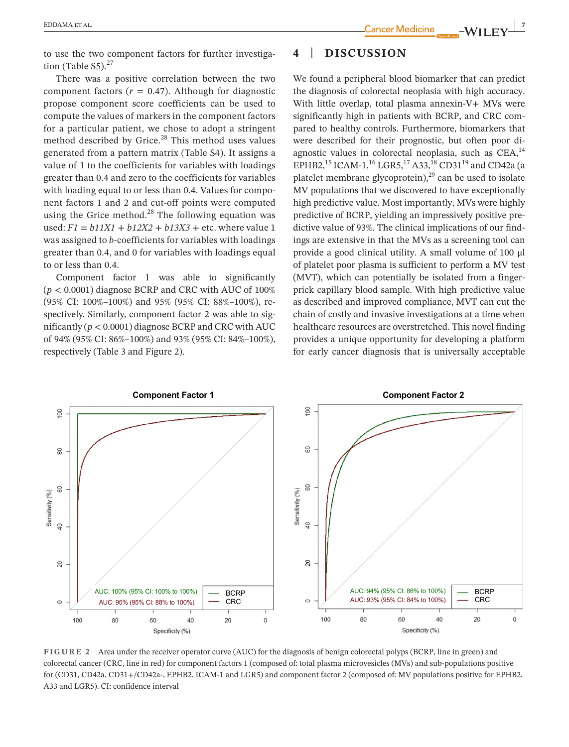to use the two component factors for further investigation (Table S5). $27$ 

There was a positive correlation between the two component factors ( $r = 0.47$ ). Although for diagnostic propose component score coefficients can be used to compute the values of markers in the component factors for a particular patient, we chose to adopt a stringent method described by Grice.<sup>28</sup> This method uses values generated from a pattern matrix (Table S4). It assigns a value of 1 to the coefficients for variables with loadings greater than 0.4 and zero to the coefficients for variables with loading equal to or less than 0.4. Values for component factors 1 and 2 and cut-off points were computed using the Grice method. $^{28}$  The following equation was used: *F1 = b11X1 + b12X2 + b13X3 +* etc. where value 1 was assigned to *b*-coefficients for variables with loadings greater than 0.4, and 0 for variables with loadings equal to or less than 0.4.

Component factor 1 was able to significantly  $(p < 0.0001)$  diagnose BCRP and CRC with AUC of  $100\%$ (95% CI: 100%–100%) and 95% (95% CI: 88%–100%), respectively. Similarly, component factor 2 was able to significantly (*p* < 0.0001) diagnose BCRP and CRC with AUC of 94% (95% CI: 86%–100%) and 93% (95% CI: 84%–100%), respectively (Table 3 and Figure 2).

## **4** | **DISCUSSION**

We found a peripheral blood biomarker that can predict the diagnosis of colorectal neoplasia with high accuracy. With little overlap, total plasma annexin-V+ MVs were significantly high in patients with BCRP, and CRC compared to healthy controls. Furthermore, biomarkers that were described for their prognostic, but often poor diagnostic values in colorectal neoplasia, such as  $CEA<sub>14</sub>$ EPHB2,<sup>15</sup> ICAM-1,<sup>16</sup> LGR5,<sup>17</sup> A33,<sup>18</sup> CD31<sup>19</sup> and CD42a (a platelet membrane glycoprotein), $^{29}$  can be used to isolate MV populations that we discovered to have exceptionally high predictive value. Most importantly, MVs were highly predictive of BCRP, yielding an impressively positive predictive value of 93%. The clinical implications of our findings are extensive in that the MVs as a screening tool can provide a good clinical utility. A small volume of 100 μl of platelet poor plasma is sufficient to perform a MV test (MVT), which can potentially be isolated from a fingerprick capillary blood sample. With high predictive value as described and improved compliance, MVT can cut the chain of costly and invasive investigations at a time when healthcare resources are overstretched. This novel finding provides a unique opportunity for developing a platform for early cancer diagnosis that is universally acceptable



**FIGURE 2** Area under the receiver operator curve (AUC) for the diagnosis of benign colorectal polyps (BCRP, line in green) and colorectal cancer (CRC, line in red) for component factors 1 (composed of: total plasma microvesicles (MVs) and sub-populations positive for (CD31, CD42a, CD31+/CD42a-, EPHB2, ICAM-1 and LGR5) and component factor 2 (composed of: MV populations positive for EPHB2, A33 and LGR5). CI: confidence interval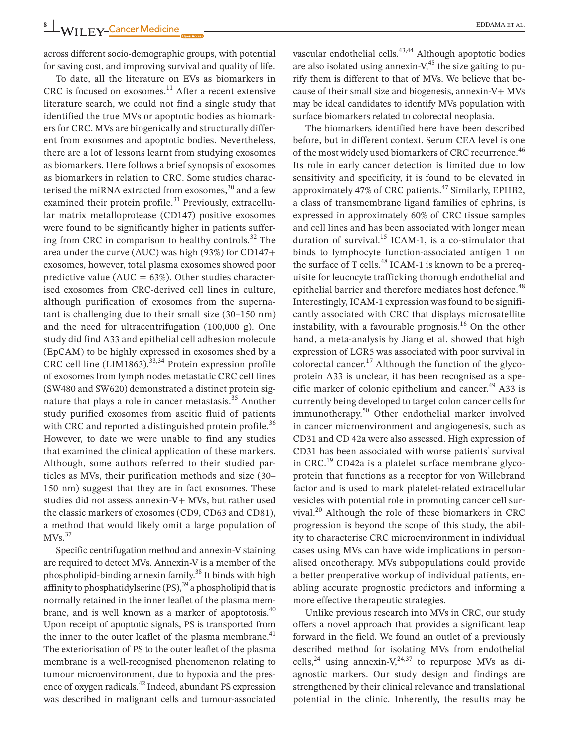across different socio-demographic groups, with potential for saving cost, and improving survival and quality of life.

To date, all the literature on EVs as biomarkers in CRC is focused on exosomes. $11$  After a recent extensive literature search, we could not find a single study that identified the true MVs or apoptotic bodies as biomarkers for CRC. MVs are biogenically and structurally different from exosomes and apoptotic bodies. Nevertheless, there are a lot of lessons learnt from studying exosomes as biomarkers. Here follows a brief synopsis of exosomes as biomarkers in relation to CRC. Some studies characterised the miRNA extracted from exosomes, $30$  and a few examined their protein profile. $31$  Previously, extracellular matrix metalloprotease (CD147) positive exosomes were found to be significantly higher in patients suffering from CRC in comparison to healthy controls. $^{32}$  The area under the curve (AUC) was high (93%) for CD147+ exosomes, however, total plasma exosomes showed poor predictive value (AUC =  $63\%$ ). Other studies characterised exosomes from CRC-derived cell lines in culture, although purification of exosomes from the supernatant is challenging due to their small size (30–150 nm) and the need for ultracentrifugation (100,000 g). One study did find A33 and epithelial cell adhesion molecule (EpCAM) to be highly expressed in exosomes shed by a CRC cell line (LIM1863). $33,34$  Protein expression profile of exosomes from lymph nodes metastatic CRC cell lines (SW480 and SW620) demonstrated a distinct protein signature that plays a role in cancer metastasis.<sup>35</sup> Another study purified exosomes from ascitic fluid of patients with CRC and reported a distinguished protein profile.<sup>36</sup> However, to date we were unable to find any studies that examined the clinical application of these markers. Although, some authors referred to their studied particles as MVs, their purification methods and size (30– 150 nm) suggest that they are in fact exosomes. These studies did not assess annexin-V+ MVs, but rather used the classic markers of exosomes (CD9, CD63 and CD81), a method that would likely omit a large population of  $MVs.<sup>37</sup>$ 

Specific centrifugation method and annexin-V staining are required to detect MVs. Annexin-V is a member of the phospholipid-binding annexin family.<sup>38</sup> It binds with high affinity to phosphatidylserine (PS),<sup>39</sup> a phospholipid that is normally retained in the inner leaflet of the plasma membrane, and is well known as a marker of apoptotosis.<sup>40</sup> Upon receipt of apoptotic signals, PS is transported from the inner to the outer leaflet of the plasma membrane. $41$ The exteriorisation of PS to the outer leaflet of the plasma membrane is a well-recognised phenomenon relating to tumour microenvironment, due to hypoxia and the presence of oxygen radicals.<sup>42</sup> Indeed, abundant PS expression was described in malignant cells and tumour-associated

vascular endothelial cells.<sup>43,44</sup> Although apoptotic bodies are also isolated using annexin- $V<sub>1</sub><sup>45</sup>$  the size gaiting to purify them is different to that of MVs. We believe that because of their small size and biogenesis, annexin-V+ MVs may be ideal candidates to identify MVs population with surface biomarkers related to colorectal neoplasia.

The biomarkers identified here have been described before, but in different context. Serum CEA level is one of the most widely used biomarkers of CRC recurrence.<sup>46</sup> Its role in early cancer detection is limited due to low sensitivity and specificity, it is found to be elevated in approximately 47% of CRC patients.47 Similarly, EPHB2, a class of transmembrane ligand families of ephrins, is expressed in approximately 60% of CRC tissue samples and cell lines and has been associated with longer mean duration of survival.<sup>15</sup> ICAM-1, is a co-stimulator that binds to lymphocyte function-associated antigen 1 on the surface of T cells.<sup>48</sup> ICAM-1 is known to be a prerequisite for leucocyte trafficking thorough endothelial and epithelial barrier and therefore mediates host defence.<sup>48</sup> Interestingly, ICAM-1 expression was found to be significantly associated with CRC that displays microsatellite instability, with a favourable prognosis. $16$  On the other hand, a meta-analysis by Jiang et al. showed that high expression of LGR5 was associated with poor survival in colorectal cancer.<sup>17</sup> Although the function of the glycoprotein A33 is unclear, it has been recognised as a specific marker of colonic epithelium and cancer. $^{49}$  A33 is currently being developed to target colon cancer cells for immunotherapy.50 Other endothelial marker involved in cancer microenvironment and angiogenesis, such as CD31 and CD 42a were also assessed. High expression of CD31 has been associated with worse patients' survival in CRC.<sup>19</sup> CD42a is a platelet surface membrane glycoprotein that functions as a receptor for von Willebrand factor and is used to mark platelet-related extracellular vesicles with potential role in promoting cancer cell survival.20 Although the role of these biomarkers in CRC progression is beyond the scope of this study, the ability to characterise CRC microenvironment in individual cases using MVs can have wide implications in personalised oncotherapy. MVs subpopulations could provide a better preoperative workup of individual patients, enabling accurate prognostic predictors and informing a more effective therapeutic strategies.

Unlike previous research into MVs in CRC, our study offers a novel approach that provides a significant leap forward in the field. We found an outlet of a previously described method for isolating MVs from endothelial cells,<sup>24</sup> using annexin-V,<sup>24,37</sup> to repurpose MVs as diagnostic markers. Our study design and findings are strengthened by their clinical relevance and translational potential in the clinic. Inherently, the results may be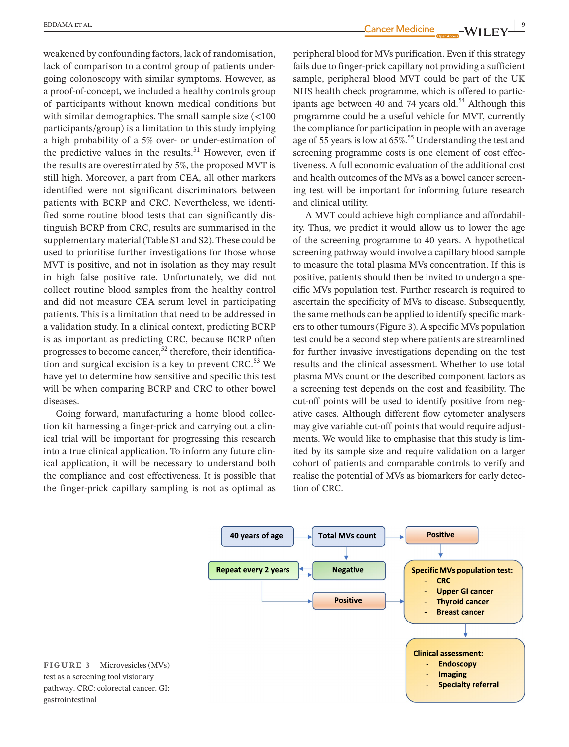weakened by confounding factors, lack of randomisation, lack of comparison to a control group of patients undergoing colonoscopy with similar symptoms. However, as a proof-of-concept, we included a healthy controls group of participants without known medical conditions but with similar demographics. The small sample size  $\left($  <100 participants/group) is a limitation to this study implying a high probability of a 5% over- or under-estimation of the predictive values in the results.<sup>51</sup> However, even if the results are overestimated by 5%, the proposed MVT is still high. Moreover, a part from CEA, all other markers identified were not significant discriminators between patients with BCRP and CRC. Nevertheless, we identified some routine blood tests that can significantly distinguish BCRP from CRC, results are summarised in the supplementary material (Table S1 and S2). These could be used to prioritise further investigations for those whose MVT is positive, and not in isolation as they may result in high false positive rate. Unfortunately, we did not collect routine blood samples from the healthy control and did not measure CEA serum level in participating patients. This is a limitation that need to be addressed in a validation study. In a clinical context, predicting BCRP is as important as predicting CRC, because BCRP often progresses to become cancer,<sup>52</sup> therefore, their identification and surgical excision is a key to prevent  $CRC<sup>53</sup>$  We have yet to determine how sensitive and specific this test will be when comparing BCRP and CRC to other bowel diseases.

Going forward, manufacturing a home blood collection kit harnessing a finger-prick and carrying out a clinical trial will be important for progressing this research into a true clinical application. To inform any future clinical application, it will be necessary to understand both the compliance and cost effectiveness. It is possible that the finger-prick capillary sampling is not as optimal as

 **|** EDDAMA et al. **9**

peripheral blood for MVs purification. Even if this strategy fails due to finger-prick capillary not providing a sufficient sample, peripheral blood MVT could be part of the UK NHS health check programme, which is offered to participants age between 40 and 74 years old.<sup>54</sup> Although this programme could be a useful vehicle for MVT, currently the compliance for participation in people with an average age of 55 years is low at  $65\%$ .<sup>55</sup> Understanding the test and screening programme costs is one element of cost effectiveness. A full economic evaluation of the additional cost and health outcomes of the MVs as a bowel cancer screening test will be important for informing future research and clinical utility.

A MVT could achieve high compliance and affordability. Thus, we predict it would allow us to lower the age of the screening programme to 40 years. A hypothetical screening pathway would involve a capillary blood sample to measure the total plasma MVs concentration. If this is positive, patients should then be invited to undergo a specific MVs population test. Further research is required to ascertain the specificity of MVs to disease. Subsequently, the same methods can be applied to identify specific markers to other tumours (Figure 3). A specific MVs population test could be a second step where patients are streamlined for further invasive investigations depending on the test results and the clinical assessment. Whether to use total plasma MVs count or the described component factors as a screening test depends on the cost and feasibility. The cut-off points will be used to identify positive from negative cases. Although different flow cytometer analysers may give variable cut-off points that would require adjustments. We would like to emphasise that this study is limited by its sample size and require validation on a larger cohort of patients and comparable controls to verify and realise the potential of MVs as biomarkers for early detection of CRC.



**FIGURE 3** Microvesicles (MVs) test as a screening tool visionary pathway. CRC: colorectal cancer. GI: gastrointestinal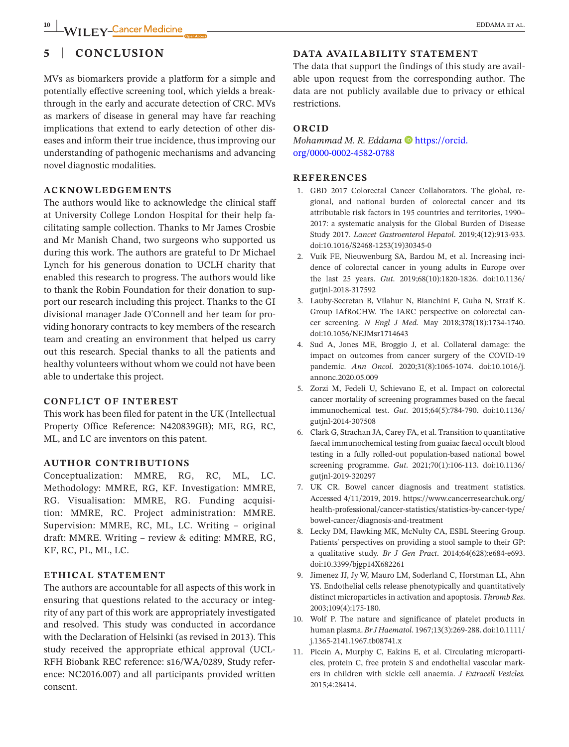## **5** | **CONCLUSION**

MVs as biomarkers provide a platform for a simple and potentially effective screening tool, which yields a breakthrough in the early and accurate detection of CRC. MVs as markers of disease in general may have far reaching implications that extend to early detection of other diseases and inform their true incidence, thus improving our understanding of pathogenic mechanisms and advancing novel diagnostic modalities.

### **ACKNOWLEDGEMENTS**

The authors would like to acknowledge the clinical staff at University College London Hospital for their help facilitating sample collection. Thanks to Mr James Crosbie and Mr Manish Chand, two surgeons who supported us during this work. The authors are grateful to Dr Michael Lynch for his generous donation to UCLH charity that enabled this research to progress. The authors would like to thank the Robin Foundation for their donation to support our research including this project. Thanks to the GI divisional manager Jade O'Connell and her team for providing honorary contracts to key members of the research team and creating an environment that helped us carry out this research. Special thanks to all the patients and healthy volunteers without whom we could not have been able to undertake this project.

### **CONFLICT OF INTEREST**

This work has been filed for patent in the UK (Intellectual Property Office Reference: N420839GB); ME, RG, RC, ML, and LC are inventors on this patent.

### **AUTHOR CONTRIBUTIONS**

Conceptualization: MMRE, RG, RC, ML, LC. Methodology: MMRE, RG, KF. Investigation: MMRE, RG. Visualisation: MMRE, RG. Funding acquisition: MMRE, RC. Project administration: MMRE. Supervision: MMRE, RC, ML, LC. Writing – original draft: MMRE. Writing – review & editing: MMRE, RG, KF, RC, PL, ML, LC.

### **ETHICAL STATEMENT**

The authors are accountable for all aspects of this work in ensuring that questions related to the accuracy or integrity of any part of this work are appropriately investigated and resolved. This study was conducted in accordance with the Declaration of Helsinki (as revised in 2013). This study received the appropriate ethical approval (UCL-RFH Biobank REC reference: s16/WA/0289, Study reference: NC2016.007) and all participants provided written consent.

### **DATA AVAILABILITY STATEMENT**

The data that support the findings of this study are available upon request from the corresponding author. The data are not publicly available due to privacy or ethical restrictions.

### **ORCID**

*Mohammad M. R. Eddama* **D** [https://orcid.](https://orcid.org/0000-0002-4582-0788) [org/0000-0002-4582-0788](https://orcid.org/0000-0002-4582-0788)

### **REFERENCES**

- 1. GBD 2017 Colorectal Cancer Collaborators. The global, regional, and national burden of colorectal cancer and its attributable risk factors in 195 countries and territories, 1990– 2017: a systematic analysis for the Global Burden of Disease Study 2017. *Lancet Gastroenterol Hepatol*. 2019;4(12):913-933. doi[:10.1016/S2468-1253\(19\)30345-0](https://doi.org/10.1016/S2468-1253(19)30345-0)
- 2. Vuik FE, Nieuwenburg SA, Bardou M, et al. Increasing incidence of colorectal cancer in young adults in Europe over the last 25 years. *Gut*. 2019;68(10):1820-1826. doi[:10.1136/](https://doi.org/10.1136/gutjnl-2018-317592) [gutjnl-2018-317592](https://doi.org/10.1136/gutjnl-2018-317592)
- 3. Lauby-Secretan B, Vilahur N, Bianchini F, Guha N, Straif K. Group IAfRoCHW. The IARC perspective on colorectal cancer screening. *N Engl J Med*. May 2018;378(18):1734-1740. doi[:10.1056/NEJMsr1714643](https://doi.org/10.1056/NEJMsr1714643)
- 4. Sud A, Jones ME, Broggio J, et al. Collateral damage: the impact on outcomes from cancer surgery of the COVID-19 pandemic. *Ann Oncol*. 2020;31(8):1065-1074. doi:[10.1016/j.](https://doi.org/10.1016/j.annonc.2020.05.009) [annonc.2020.05.009](https://doi.org/10.1016/j.annonc.2020.05.009)
- 5. Zorzi M, Fedeli U, Schievano E, et al. Impact on colorectal cancer mortality of screening programmes based on the faecal immunochemical test. *Gut*. 2015;64(5):784-790. doi[:10.1136/](https://doi.org/10.1136/gutjnl-2014-307508) [gutjnl-2014-307508](https://doi.org/10.1136/gutjnl-2014-307508)
- 6. Clark G, Strachan JA, Carey FA, et al. Transition to quantitative faecal immunochemical testing from guaiac faecal occult blood testing in a fully rolled-out population-based national bowel screening programme. *Gut*. 2021;70(1):106-113. doi[:10.1136/](https://doi.org/10.1136/gutjnl-2019-320297) [gutjnl-2019-320297](https://doi.org/10.1136/gutjnl-2019-320297)
- 7. UK CR. Bowel cancer diagnosis and treatment statistics. Accessed 4/11/2019, 2019. [https://www.cancerresearchuk.org/](https://www.cancerresearchuk.org/health-professional/cancer-statistics/statistics-by-cancer-type/bowel-cancer/diagnosis-and-treatment) [health-professional/cancer-statistics/statistics-by-cancer-type/](https://www.cancerresearchuk.org/health-professional/cancer-statistics/statistics-by-cancer-type/bowel-cancer/diagnosis-and-treatment) [bowel-cancer/diagnosis-and-treatment](https://www.cancerresearchuk.org/health-professional/cancer-statistics/statistics-by-cancer-type/bowel-cancer/diagnosis-and-treatment)
- 8. Lecky DM, Hawking MK, McNulty CA, ESBL Steering Group. Patients' perspectives on providing a stool sample to their GP: a qualitative study. *Br J Gen Pract*. 2014;64(628):e684-e693. doi[:10.3399/bjgp14X682261](https://doi.org/10.3399/bjgp14X682261)
- 9. Jimenez JJ, Jy W, Mauro LM, Soderland C, Horstman LL, Ahn YS. Endothelial cells release phenotypically and quantitatively distinct microparticles in activation and apoptosis. *Thromb Res*. 2003;109(4):175-180.
- 10. Wolf P. The nature and significance of platelet products in human plasma. *Br J Haematol*. 1967;13(3):269-288. doi[:10.1111/](https://doi.org/10.1111/j.1365-2141.1967.tb08741.x) [j.1365-2141.1967.tb08741.x](https://doi.org/10.1111/j.1365-2141.1967.tb08741.x)
- 11. Piccin A, Murphy C, Eakins E, et al. Circulating microparticles, protein C, free protein S and endothelial vascular markers in children with sickle cell anaemia. *J Extracell Vesicles.* 2015;4:28414.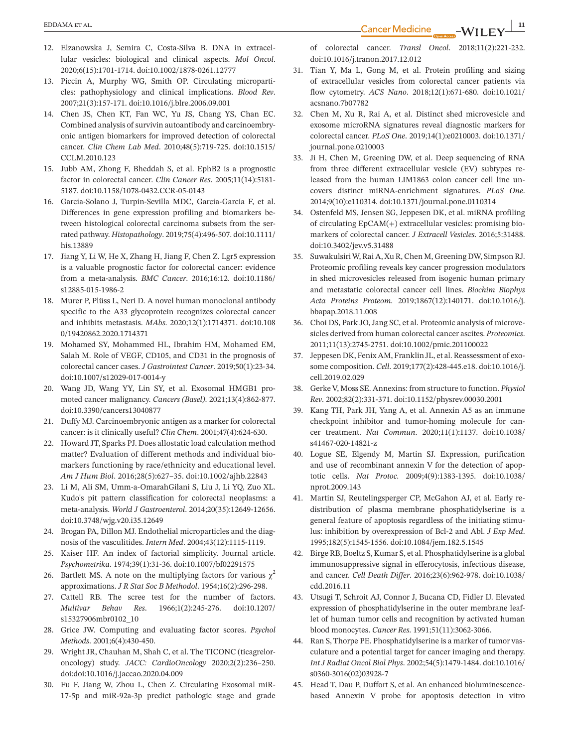- 12. Elzanowska J, Semira C, Costa-Silva B. DNA in extracellular vesicles: biological and clinical aspects. *Mol Oncol*. 2020;6(15):1701-1714. doi:[10.1002/1878-0261.12777](https://doi.org/10.1002/1878-0261.12777)
- 13. Piccin A, Murphy WG, Smith OP. Circulating microparticles: pathophysiology and clinical implications. *Blood Rev*. 2007;21(3):157-171. doi[:10.1016/j.blre.2006.09.001](https://doi.org/10.1016/j.blre.2006.09.001)
- 14. Chen JS, Chen KT, Fan WC, Yu JS, Chang YS, Chan EC. Combined analysis of survivin autoantibody and carcinoembryonic antigen biomarkers for improved detection of colorectal cancer. *Clin Chem Lab Med*. 2010;48(5):719-725. doi:[10.1515/](https://doi.org/10.1515/CCLM.2010.123) [CCLM.2010.123](https://doi.org/10.1515/CCLM.2010.123)
- 15. Jubb AM, Zhong F, Bheddah S, et al. EphB2 is a prognostic factor in colorectal cancer. *Clin Cancer Res*. 2005;11(14):5181- 5187. doi:[10.1158/1078-0432.CCR-05-0143](https://doi.org/10.1158/1078-0432.CCR-05-0143)
- 16. García-Solano J, Turpin-Sevilla MDC, García-García F, et al. Differences in gene expression profiling and biomarkers between histological colorectal carcinoma subsets from the serrated pathway. *Histopathology*. 2019;75(4):496-507. doi:[10.1111/](https://doi.org/10.1111/his.13889) [his.13889](https://doi.org/10.1111/his.13889)
- 17. Jiang Y, Li W, He X, Zhang H, Jiang F, Chen Z. Lgr5 expression is a valuable prognostic factor for colorectal cancer: evidence from a meta-analysis. *BMC Cancer*. 2016;16:12. doi:[10.1186/](https://doi.org/10.1186/s12885-015-1986-2) [s12885-015-1986-2](https://doi.org/10.1186/s12885-015-1986-2)
- 18. Murer P, Plüss L, Neri D. A novel human monoclonal antibody specific to the A33 glycoprotein recognizes colorectal cancer and inhibits metastasis. *MAbs*. 2020;12(1):1714371. doi[:10.108](https://doi.org/10.1080/19420862.2020.1714371) [0/19420862.2020.1714371](https://doi.org/10.1080/19420862.2020.1714371)
- 19. Mohamed SY, Mohammed HL, Ibrahim HM, Mohamed EM, Salah M. Role of VEGF, CD105, and CD31 in the prognosis of colorectal cancer cases. *J Gastrointest Cancer*. 2019;50(1):23-34. doi:[10.1007/s12029-017-0014-y](https://doi.org/10.1007/s12029-017-0014-y)
- 20. Wang JD, Wang YY, Lin SY, et al. Exosomal HMGB1 promoted cancer malignancy. *Cancers (Basel)*. 2021;13(4):862-877. doi:[10.3390/cancers13040877](https://doi.org/10.3390/cancers13040877)
- 21. Duffy MJ. Carcinoembryonic antigen as a marker for colorectal cancer: is it clinically useful? *Clin Chem*. 2001;47(4):624-630.
- 22. Howard JT, Sparks PJ. Does allostatic load calculation method matter? Evaluation of different methods and individual biomarkers functioning by race/ethnicity and educational level. *Am J Hum Biol*. 2016;28(5):627–35. doi:[10.1002/ajhb.22843](https://doi.org/10.1002/ajhb.22843)
- 23. Li M, Ali SM, Umm-a-OmarahGilani S, Liu J, Li YQ, Zuo XL. Kudo's pit pattern classification for colorectal neoplasms: a meta-analysis. *World J Gastroenterol*. 2014;20(35):12649-12656. doi:[10.3748/wjg.v20.i35.12649](https://doi.org/10.3748/wjg.v20.i35.12649)
- 24. Brogan PA, Dillon MJ. Endothelial microparticles and the diagnosis of the vasculitides. *Intern Med*. 2004;43(12):1115-1119.
- 25. Kaiser HF. An index of factorial simplicity. Journal article. *Psychometrika*. 1974;39(1):31-36. doi[:10.1007/bf02291575](https://doi.org/10.1007/bf02291575)
- 26. Bartlett MS. A note on the multiplying factors for various  $\chi^2$ approximations. *J R Stat Soc B Methodol*. 1954;16(2):296-298.
- 27. Cattell RB. The scree test for the number of factors. *Multivar Behav Res*. 1966;1(2):245-276. doi:[10.1207/](https://doi.org/10.1207/s15327906mbr0102_10) [s15327906mbr0102\\_10](https://doi.org/10.1207/s15327906mbr0102_10)
- 28. Grice JW. Computing and evaluating factor scores. *Psychol Methods*. 2001;6(4):430-450.
- 29. Wright JR, Chauhan M, Shah C, et al. The TICONC (ticagreloroncology) study. *JACC: CardioOncology* 2020;2(2):236–250. doi:[doi:10.1016/j.jaccao.2020.04.009](https://doi.org/10.1016/j.jaccao.2020.04.009)
- 30. Fu F, Jiang W, Zhou L, Chen Z. Circulating Exosomal miR-17-5p and miR-92a-3p predict pathologic stage and grade

of colorectal cancer. *Transl Oncol*. 2018;11(2):221-232. doi[:10.1016/j.tranon.2017.12.012](https://doi.org/10.1016/j.tranon.2017.12.012)

- 31. Tian Y, Ma L, Gong M, et al. Protein profiling and sizing of extracellular vesicles from colorectal cancer patients via flow cytometry. *ACS Nano*. 2018;12(1):671-680. doi[:10.1021/](https://doi.org/10.1021/acsnano.7b07782) [acsnano.7b07782](https://doi.org/10.1021/acsnano.7b07782)
- 32. Chen M, Xu R, Rai A, et al. Distinct shed microvesicle and exosome microRNA signatures reveal diagnostic markers for colorectal cancer. *PLoS One*. 2019;14(1):e0210003. doi[:10.1371/](https://doi.org/10.1371/journal.pone.0210003) [journal.pone.0210003](https://doi.org/10.1371/journal.pone.0210003)
- 33. Ji H, Chen M, Greening DW, et al. Deep sequencing of RNA from three different extracellular vesicle (EV) subtypes released from the human LIM1863 colon cancer cell line uncovers distinct miRNA-enrichment signatures. *PLoS One*. 2014;9(10):e110314. doi:[10.1371/journal.pone.0110314](https://doi.org/10.1371/journal.pone.0110314)
- 34. Ostenfeld MS, Jensen SG, Jeppesen DK, et al. miRNA profiling of circulating EpCAM(+) extracellular vesicles: promising biomarkers of colorectal cancer. *J Extracell Vesicles*. 2016;5:31488. doi[:10.3402/jev.v5.31488](https://doi.org/10.3402/jev.v5.31488)
- 35. Suwakulsiri W, Rai A, Xu R, Chen M, Greening DW, Simpson RJ. Proteomic profiling reveals key cancer progression modulators in shed microvesicles released from isogenic human primary and metastatic colorectal cancer cell lines. *Biochim Biophys Acta Proteins Proteom*. 2019;1867(12):140171. doi:[10.1016/j.](https://doi.org/10.1016/j.bbapap.2018.11.008) [bbapap.2018.11.008](https://doi.org/10.1016/j.bbapap.2018.11.008)
- 36. Choi DS, Park JO, Jang SC, et al. Proteomic analysis of microvesicles derived from human colorectal cancer ascites. *Proteomics*. 2011;11(13):2745-2751. doi[:10.1002/pmic.201100022](https://doi.org/10.1002/pmic.201100022)
- 37. Jeppesen DK, Fenix AM, Franklin JL, et al. Reassessment of exosome composition. *Cell*. 2019;177(2):428-445.e18. doi:[10.1016/j.](https://doi.org/10.1016/j.cell.2019.02.029) [cell.2019.02.029](https://doi.org/10.1016/j.cell.2019.02.029)
- 38. Gerke V, Moss SE. Annexins: from structure to function. *Physiol Rev*. 2002;82(2):331-371. doi[:10.1152/physrev.00030.2001](https://doi.org/10.1152/physrev.00030.2001)
- 39. Kang TH, Park JH, Yang A, et al. Annexin A5 as an immune checkpoint inhibitor and tumor-homing molecule for cancer treatment. *Nat Commun*. 2020;11(1):1137. doi[:10.1038/](https://doi.org/10.1038/s41467-020-14821-z) [s41467-020-14821-z](https://doi.org/10.1038/s41467-020-14821-z)
- 40. Logue SE, Elgendy M, Martin SJ. Expression, purification and use of recombinant annexin V for the detection of apoptotic cells. *Nat Protoc*. 2009;4(9):1383-1395. doi[:10.1038/](https://doi.org/10.1038/nprot.2009.143) [nprot.2009.143](https://doi.org/10.1038/nprot.2009.143)
- 41. Martin SJ, Reutelingsperger CP, McGahon AJ, et al. Early redistribution of plasma membrane phosphatidylserine is a general feature of apoptosis regardless of the initiating stimulus: inhibition by overexpression of Bcl-2 and Abl. *J Exp Med*. 1995;182(5):1545-1556. doi[:10.1084/jem.182.5.1545](https://doi.org/10.1084/jem.182.5.1545)
- 42. Birge RB, Boeltz S, Kumar S, et al. Phosphatidylserine is a global immunosuppressive signal in efferocytosis, infectious disease, and cancer. *Cell Death Differ*. 2016;23(6):962-978. doi[:10.1038/](https://doi.org/10.1038/cdd.2016.11) [cdd.2016.11](https://doi.org/10.1038/cdd.2016.11)
- 43. Utsugi T, Schroit AJ, Connor J, Bucana CD, Fidler IJ. Elevated expression of phosphatidylserine in the outer membrane leaflet of human tumor cells and recognition by activated human blood monocytes. *Cancer Res*. 1991;51(11):3062-3066.
- 44. Ran S, Thorpe PE. Phosphatidylserine is a marker of tumor vasculature and a potential target for cancer imaging and therapy. *Int J Radiat Oncol Biol Phys*. 2002;54(5):1479-1484. doi[:10.1016/](https://doi.org/10.1016/s0360-3016(02)03928-7) [s0360-3016\(02\)03928-7](https://doi.org/10.1016/s0360-3016(02)03928-7)
- 45. Head T, Dau P, Duffort S, et al. An enhanced bioluminescencebased Annexin V probe for apoptosis detection in vitro